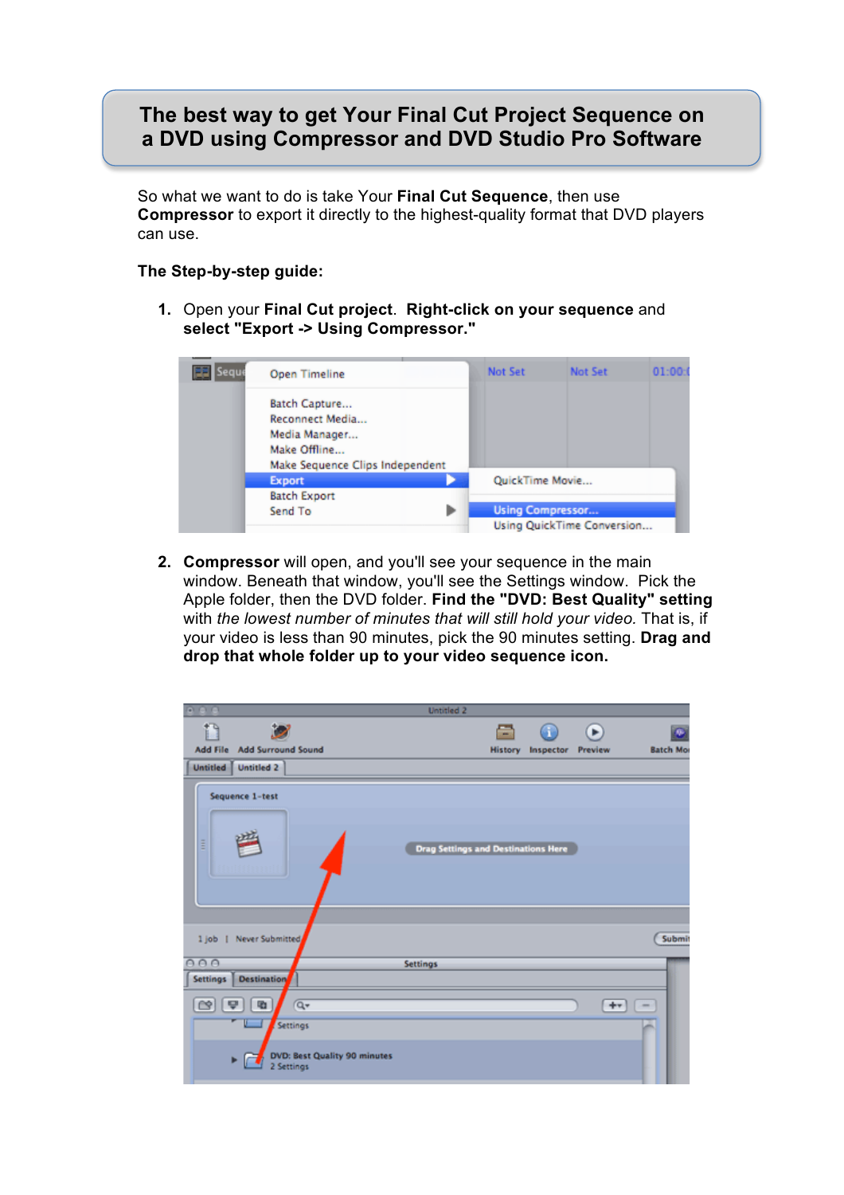## **The best way to get Your Final Cut Project Sequence on a DVD using Compressor and DVD Studio Pro Software**

So what we want to do is take Your **Final Cut Sequence**, then use **Compressor** to export it directly to the highest-quality format that DVD players can use.

## **The Step-by-step guide:**

**1.** Open your **Final Cut project**. **Right-click on your sequence** and **select "Export -> Using Compressor."**



**2. Compressor** will open, and you'll see your sequence in the main window. Beneath that window, you'll see the Settings window. Pick the Apple folder, then the DVD folder. **Find the "DVD: Best Quality" setting** with *the lowest number of minutes that will still hold your video.* That is, if your video is less than 90 minutes, pick the 90 minutes setting. **Drag and drop that whole folder up to your video sequence icon.**

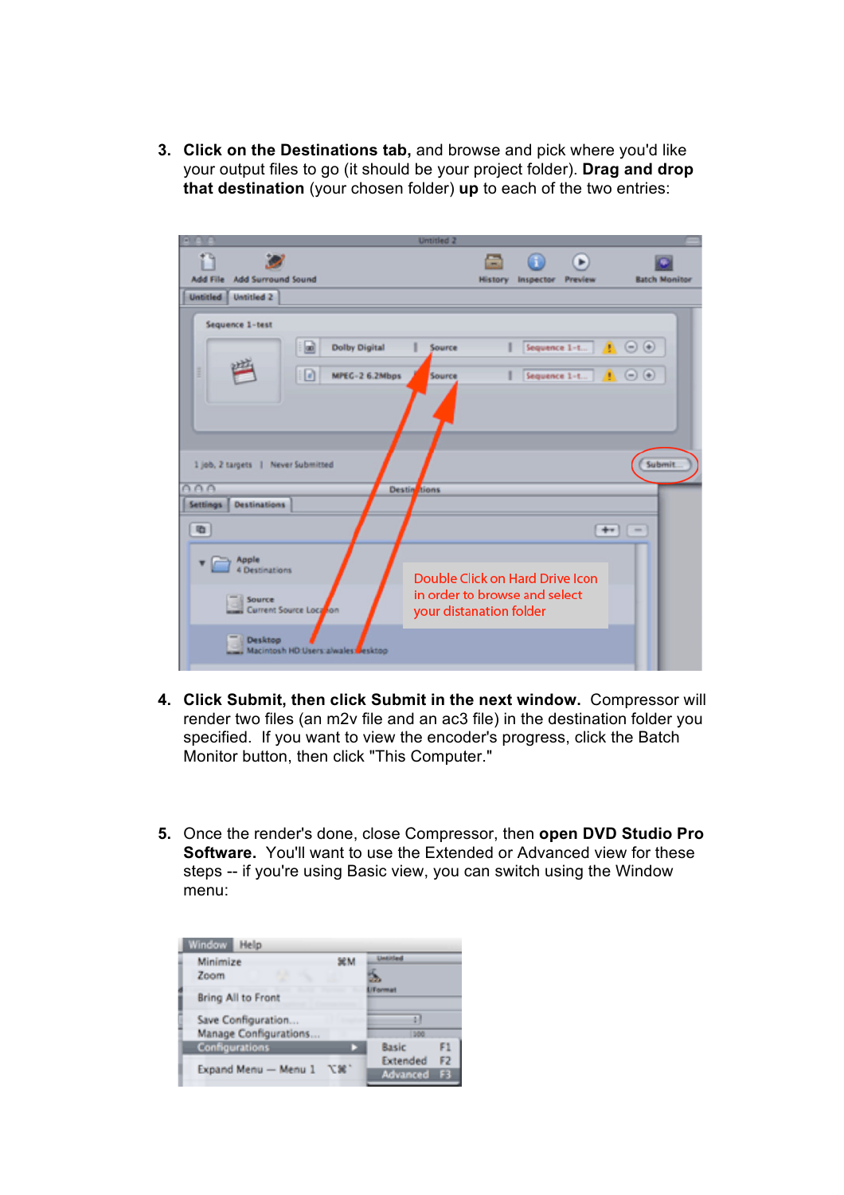**3. Click on the Destinations tab,** and browse and pick where you'd like your output files to go (it should be your project folder). **Drag and drop that destination** (your chosen folder) **up** to each of the two entries:

| $-1$ $2 - 1$                                                                       | Untitled 2                         |                                                                                             |                        |
|------------------------------------------------------------------------------------|------------------------------------|---------------------------------------------------------------------------------------------|------------------------|
| <b>Add Surround Sound</b><br><b>Add File</b>                                       |                                    | ÷<br>⊪<br>Inspector<br><b>Preview</b><br><b>History</b>                                     | <b>Batch Monitor</b>   |
| <b>Untitled 2</b><br><b>Untitled</b>                                               |                                    |                                                                                             |                        |
| Sequence 1-test<br><b>Dolby Digital</b><br>(ad)<br>ĭ<br>ø                          | Source<br>MPEG-2 6.2Mbps<br>Source | Sequence 1-t <b>3</b> ⊙ ⊙<br>Sequence 1-t $\qquad \qquad$ $\qquad \qquad$ $\qquad \qquad$   |                        |
| 1 job, 2 targets   Never Submitted                                                 |                                    |                                                                                             | <b>Submit</b>          |
| AA                                                                                 | Destin<br>tions                    |                                                                                             |                        |
| <b>Destinations</b><br><b>Settings</b><br>看                                        |                                    |                                                                                             | $+ -$<br>$\frac{1}{2}$ |
| Apple<br>$\blacksquare$<br>4 Destinations<br>$=$ Source<br>Current Source Location |                                    | Double Click on Hard Drive Icon<br>in order to browse and select<br>your distanation folder |                        |
| Desktop<br>Macintosh HD Users alwales besktop                                      |                                    |                                                                                             |                        |

- **4. Click Submit, then click Submit in the next window.** Compressor will render two files (an m2v file and an ac3 file) in the destination folder you specified. If you want to view the encoder's progress, click the Batch Monitor button, then click "This Computer."
- **5.** Once the render's done, close Compressor, then **open DVD Studio Pro Software.** You'll want to use the Extended or Advanced view for these steps -- if you're using Basic view, you can switch using the Window menu:

| ЖM | <b>Linkiniand</b> |    |  |
|----|-------------------|----|--|
|    |                   |    |  |
|    | <b>UTorman</b>    |    |  |
|    |                   |    |  |
|    | 300               |    |  |
|    | Basic             | F1 |  |
|    | Extended          | F2 |  |
|    | Advanced          | F3 |  |
|    | 工家,               |    |  |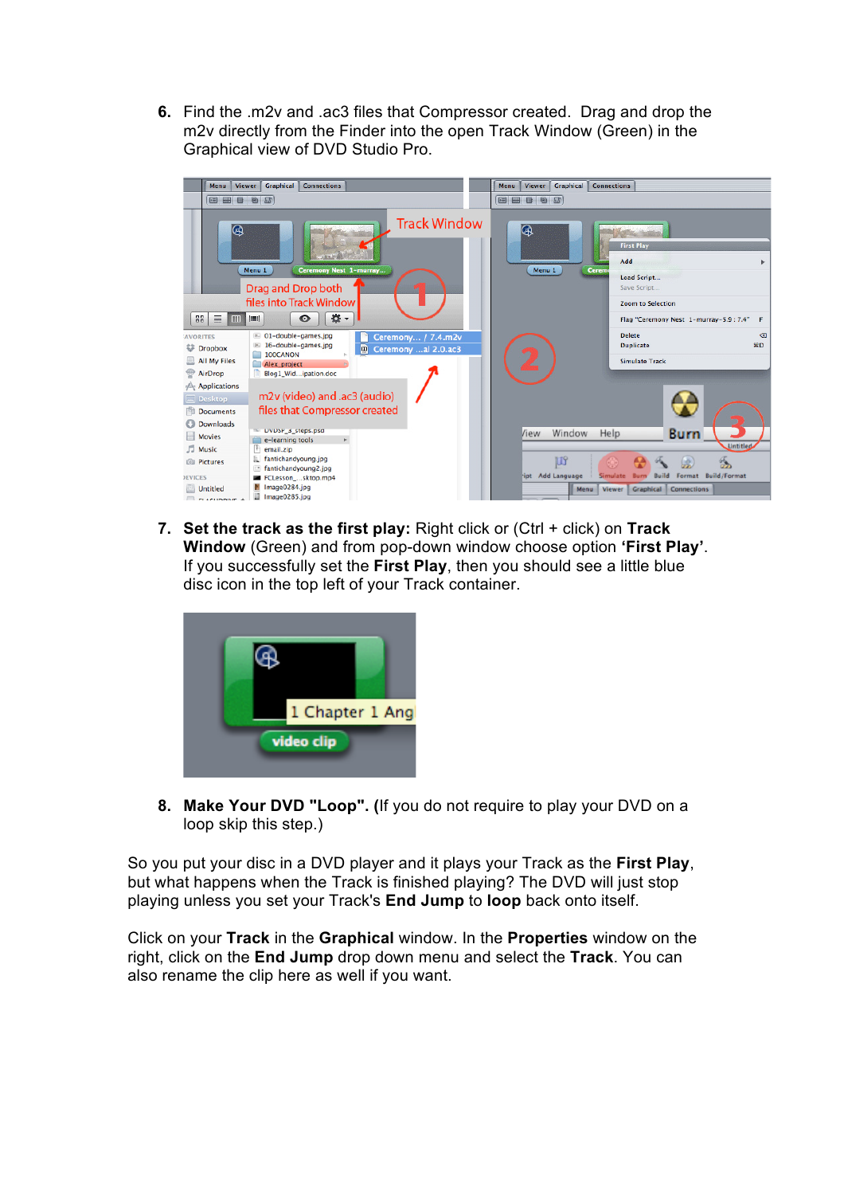**6.** Find the .m2v and .ac3 files that Compressor created. Drag and drop the m2v directly from the Finder into the open Track Window (Green) in the Graphical view of DVD Studio Pro.



**7. Set the track as the first play:** Right click or (Ctrl + click) on **Track Window** (Green) and from pop-down window choose option **'First Play'**. If you successfully set the **First Play**, then you should see a little blue disc icon in the top left of your Track container.



**8. Make Your DVD "Loop". (**If you do not require to play your DVD on a loop skip this step.)

So you put your disc in a DVD player and it plays your Track as the **First Play**, but what happens when the Track is finished playing? The DVD will just stop playing unless you set your Track's **End Jump** to **loop** back onto itself.

Click on your **Track** in the **Graphical** window. In the **Properties** window on the right, click on the **End Jump** drop down menu and select the **Track**. You can also rename the clip here as well if you want.